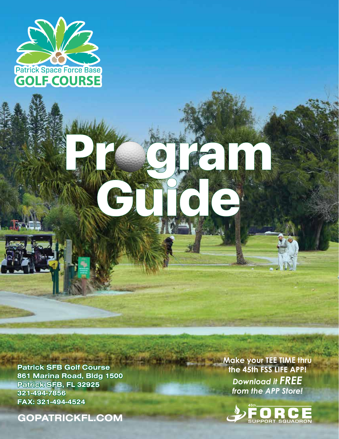

Patrick SFB Golf Course 861 Marina Road, Bldg 1500 Patrick SFB, FL 32925 321-494-7856 FAX: 321-494-4524

H

GOPATRICKFL.COM

**Make your TEE TIME thru the 45th FSS LIFE APP!** *Download it FREE from the APP Store!*

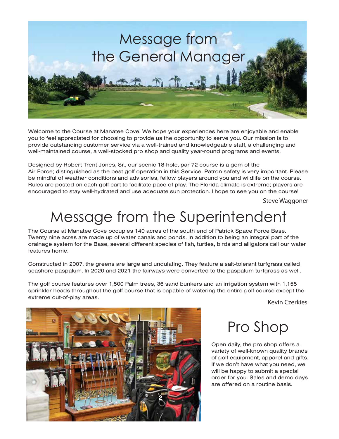

Welcome to the Course at Manatee Cove. We hope your experiences here are enjoyable and enable you to feel appreciated for choosing to provide us the opportunity to serve you. Our mission is to provide outstanding customer service via a well-trained and knowledgeable staff, a challenging and well-maintained course, a well-stocked pro shop and quality year-round programs and events.

Designed by Robert Trent Jones, Sr., our scenic 18-hole, par 72 course is a gem of the Air Force; distinguished as the best golf operation in this Service. Patron safety is very important. Please be mindful of weather conditions and advisories, fellow players around you and wildlife on the course. Rules are posted on each golf cart to facilitate pace of play. The Florida climate is extreme; players are encouraged to stay well-hydrated and use adequate sun protection. I hope to see you on the course!

Steve Waggoner

## Message from the Superintendent

The Course at Manatee Cove occupies 140 acres of the south end of Patrick Space Force Base. Twenty nine acres are made up of water canals and ponds. In addition to being an integral part of the drainage system for the Base, several different species of fish, turtles, birds and alligators call our water features home.

Constructed in 2007, the greens are large and undulating. They feature a salt-tolerant turfgrass called seashore paspalum. In 2020 and 2021 the fairways were converted to the paspalum turfgrass as well.

The golf course features over 1,500 Palm trees, 36 sand bunkers and an irrigation system with 1,155 sprinkler heads throughout the golf course that is capable of watering the entire golf course except the extreme out-of-play areas.

Kevin Czerkies



#### Pro Shop

Open daily, the pro shop offers a variety of well-known quality brands of golf equipment, apparel and gifts. If we don't have what you need, we will be happy to submit a special order for you. Sales and demo days are offered on a routine basis.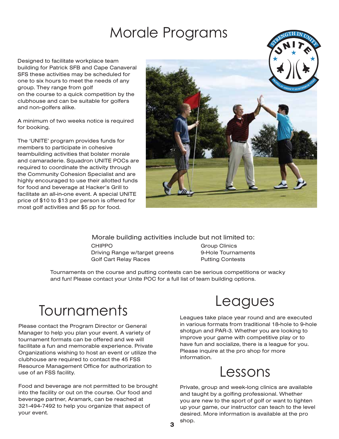### Morale Programs

Designed to facilitate workplace team building for Patrick SFB and Cape Canaveral SFS these activities may be scheduled for one to six hours to meet the needs of any group. They range from golf on the course to a quick competition by the clubhouse and can be suitable for golfers and non-golfers alike.

A minimum of two weeks notice is required for booking.

The 'UNITE' program provides funds for members to participate in cohesive teambuilding activities that bolster morale and camaraderie. Squadron UNITE POCs are required to coordinate the activity through the Community Cohesion Specialist and are highly encouraged to use their allotted funds for food and beverage at Hacker's Grill to facilitate an all-in-one event. A special UNITE price of \$10 to \$13 per person is offered for most golf activities and \$5 pp for food.



Morale building activities include but not limited to:

CHIPPO Driving Range w/target greens Golf Cart Relay Races

Group Clinics 9-Hole Tournaments Putting Contests

Tournaments on the course and putting contests can be serious competitions or wacky and fun! Please contact your Unite POC for a full list of team building options.

# Tournaments Leagues

Please contact the Program Director or General Manager to help you plan your event. A variety of tournament formats can be offered and we will facilitate a fun and memorable experience. Private Organizations wishing to host an event or utilize the clubhouse are required to contact the 45 FSS Resource Management Office for authorization to use of an FSS facility.

Food and beverage are not permitted to be brought into the facility or out on the course. Our food and beverage partner, Aramark, can be reached at 321-494-7492 to help you organize that aspect of your event.

Leagues take place year round and are executed in various formats from traditional 18-hole to 9-hole shotgun and PAR-3. Whether you are looking to improve your game with competitive play or to have fun and socialize, there is a league for you. Please inquire at the pro shop for more information.

#### Lessons

Private, group and week-long clinics are available and taught by a golfing professional. Whether you are new to the sport of golf or want to tighten up your game, our instructor can teach to the level desired. More information is available at the pro shop.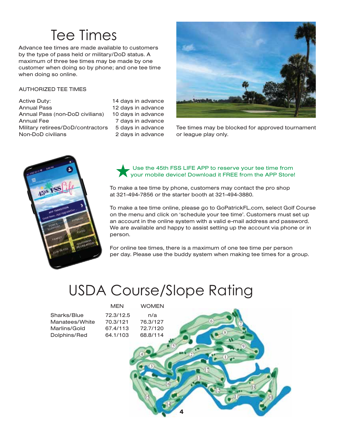# Tee Times

Advance tee times are made available to customers by the type of pass held or military/DoD status. A maximum of three tee times may be made by one customer when doing so by phone; and one tee time when doing so online.

#### AUTHORIZED TEE TIMES

Active Duty: Annual Pass Annual Pass (non-DoD civilians) Annual Fee Military retirees/DoD/contractors 5 days in advance Non-DoD civilians

14 days in advance 12 days in advance 10 days in advance 7 days in advance 2 days in advance



Tee times may be blocked for approved tournament or league play only.



Use the 45th FSS LIFE APP to reserve your tee time from your mobile device! Download it FREE from the APP Store!

To make a tee time by phone, customers may contact the pro shop at 321-494-7856 or the starter booth at 321-494-3880.

To make a tee time online, please go to GoPatrickFL.com, select Golf Course on the menu and click on 'schedule your tee time'. Customers must set up an account in the online system with a valid e-mail address and password. We are available and happy to assist setting up the account via phone or in person.

For online tee times, there is a maximum of one tee time per person per day. Please use the buddy system when making tee times for a group.

## USDA Course/Slope Rating

|                | <b>MEN</b> | <b>WOMEN</b> |   |
|----------------|------------|--------------|---|
| Sharks/Blue    | 72.3/12.5  | n/a          |   |
| Manatees/White | 70.3/121   | 76.3/127     |   |
| Marlins/Gold   | 67.4/113   | 72.7/120     |   |
| Dolphins/Red   | 64.1/103   | 68.8/114     |   |
|                |            |              |   |
|                |            |              |   |
|                |            |              |   |
|                |            |              |   |
|                |            |              |   |
|                |            |              |   |
|                |            |              |   |
|                |            |              | 4 |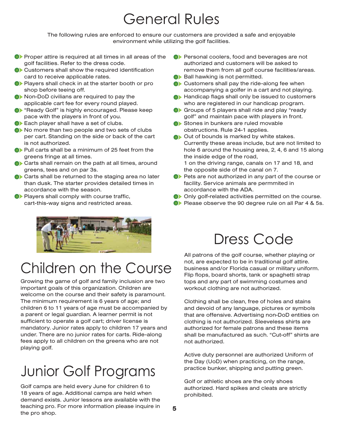# General Rules

The following rules are enforced to ensure our customers are provided a safe and enjoyable environment while utilizing the golf facilities.

- **OF** Proper attire is required at all times in all areas of the golf facilities. Refer to the dress code.
- Customers shall show the required identification card to receive applicable rates.
- **Players shall check in at the starter booth or pro** shop before teeing off.
- $\bullet\bullet$  Non-DoD civilians are required to pay the applicable cart fee for every round played.
- **O** "Ready Golf" is highly encouraged. Please keep pace with the players in front of you.
- Each player shall have a set of clubs.
- $\bullet\bullet$  No more than two people and two sets of clubs per cart. Standing on the side or back of the cart is not authorized.
- Pull carts shall be a minimum of 25 feet from the greens fringe at all times.
- Carts shall remain on the path at all times, around greens, tees and on par 3s.
- Carts shall be returned to the staging area no later than dusk. The starter provides detailed times in accordance with the season.
- **Players shall comply with course traffic,** cart-this-way signs and restricted areas.



# Children on the Course

Growing the game of golf and family inclusion are two important goals of this organization. Children are welcome on the course and their safety is paramount. The minimum requirement is 6 years of age; and children 6 to 11 years of age must be accompanied by a parent or legal guardian. A learner permit is not sufficient to operate a golf cart; driver license is mandatory. Junior rates apply to children 17 years and under. There are no junior rates for carts. Ride-along fees apply to all children on the greens who are not playing golf.

# Junior Golf Programs

Golf camps are held every June for children 6 to 18 years of age. Additional camps are held when demand exists. Junior lessons are available with the teaching pro. For more information please inquire in the pro shop.

- **C**> Personal coolers, food and beverages are not authorized and customers will be asked to remove them from all golf course facilities/areas.
- Ball hawking is not permitted.
- Customers shall pay the ride-along fee when accompanying a golfer in a cart and not playing.
- **C**> Handicap flags shall only be issued to customers who are registered in our handicap program.
- Groups of 5 players shall ride and play "ready" golf" and maintain pace with players in front.
- Stones in bunkers are ruled movable obstructions. Rule 24-1 applies.
- Out of bounds is marked by white stakes. Currently these areas include, but are not limited to hole 6 around the housing area, 2, 4, 6 and 15 along the inside edge of the road, 1 on the driving range, canals on 17 and 18, and
- the opposite side of the canal on 7. **Pets are not authorized in any part of the course or** facility. Service animals are permmited in accordance with the ADA.
- Only golf-related activities permitted on the course.
- Please observe the 90 degree rule on all Par 4 & 5s.

### Dress Code

All patrons of the golf course, whether playing or not, are expected to be in traditional golf attire. business and/or Florida casual or military uniform. Flip flops, board shorts, tank or spaghetti strap tops and any part of swimming costumes and workout clothing are not authorized.

Clothing shall be clean, free of holes and stains and devoid of any language, pictures or symbols that are offensive. Advertising non-DoD entities on clothing is not authorized. Sleeveless shirts are authorized for female patrons and these items shall be manufactured as such. "Cut-off" shirts are not authorized.

Active duty personnel are authorized Uniform of the Day (UoD) when practicing, on the range, practice bunker, shipping and putting green.

Golf or athletic shoes are the only shoes authorized. Hard spikes and cleats are strictly prohibited.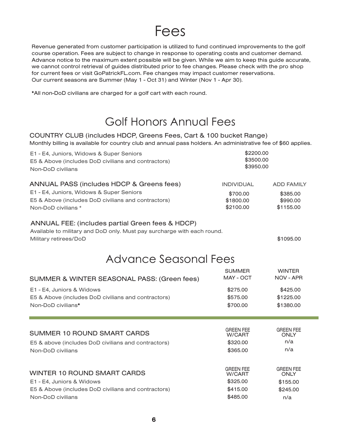#### Fees

Revenue generated from customer participation is utilized to fund continued improvements to the golf course operation. Fees are subject to change in response to operating costs and customer demand. Advance notice to the maximum extent possible will be given. While we aim to keep this guide accurate, we cannot control retrieval of guides distributed prior to fee changes. Please check with the pro shop for current fees or visit GoPatrickFL.com. Fee changes may impact customer reservations. Our current seasons are Summer (May 1 - Oct 31) and Winter (Nov 1 - Apr 30).

\*All non-DoD civilians are charged for a golf cart with each round.

#### Golf Honors Annual Fees

#### COUNTRY CLUB (includes HDCP, Greens Fees, Cart & 100 bucket Range)

Monthly billing is available for country club and annual pass holders. An administrative fee of \$60 applies.

| E1 - E4, Juniors, Widows & Super Seniors<br>E5 & Above (includes DoD civilians and contractors)<br>Non-DoD civilians                                 | \$2200.00<br>\$3500.00<br>\$3950.00 |                                        |  |
|------------------------------------------------------------------------------------------------------------------------------------------------------|-------------------------------------|----------------------------------------|--|
| ANNUAL PASS (includes HDCP & Greens fees)                                                                                                            | <b>INDIVIDUAL</b>                   | <b>ADD FAMILY</b>                      |  |
| E1 - E4, Juniors, Widows & Super Seniors<br>E5 & Above (includes DoD civilians and contractors)<br>Non-DoD civilians *                               | \$700.00<br>\$1800.00<br>\$2100.00  | \$385.00<br>\$990.00<br>\$1155.00      |  |
| ANNUAL FEE: (includes partial Green fees & HDCP)<br>Available to military and DoD only. Must pay surcharge with each round.<br>Military retirees/DoD |                                     | \$1095.00                              |  |
| Advance Seasonal Fees                                                                                                                                |                                     |                                        |  |
| SUMMER & WINTER SEASONAL PASS: (Green fees)                                                                                                          | <b>SUMMER</b><br>MAY - OCT          | <b>WINTER</b><br>NOV - APR             |  |
| E1 - E4, Juniors & Widows<br>E5 & Above (includes DoD civilians and contractors)<br>Non-DoD civilians*                                               | \$275.00<br>\$575.00<br>\$700.00    | \$425.00<br>\$1225.00<br>\$1380.00     |  |
| <b>SUMMER 10 ROUND SMART CARDS</b>                                                                                                                   | <b>GREEN FEE</b><br>W/CART          | <b>GREEN FEE</b><br><b>ONLY</b><br>n/a |  |
| E5 & above (includes DoD civilians and contractors)<br>Non-DoD civilians                                                                             | \$320.00<br>\$365.00                | n/a                                    |  |
| <b>WINTER 10 ROUND SMART CARDS</b>                                                                                                                   | <b>GREEN FEE</b><br>W/CART          | <b>GREEN FEE</b><br><b>ONLY</b>        |  |
| E1 - E4, Juniors & Widows                                                                                                                            | \$325.00                            | \$155.00                               |  |
| E5 & Above (includes DoD civilians and contractors)                                                                                                  | \$415.00                            | \$245.00                               |  |
| Non-DoD civilians                                                                                                                                    | \$485.00                            | n/a                                    |  |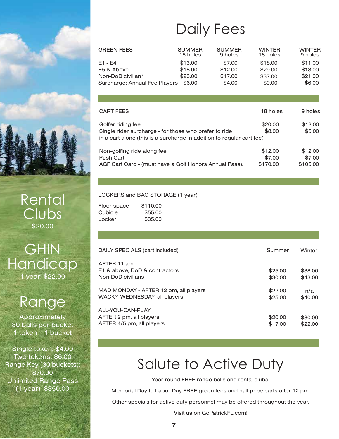

Rental Clubs \$20.00

**GHIN Handicap** 1 year: \$22.00

# Range

Approximately 30 balls per bucket 1 token  $=$  1 bucket

Single token: \$4.00 Two tokens: \$6.00 Range Key (30 buckets): \$70.00 Unlimited Range Pass (1 year): \$350.00

# Daily Fees

| <b>GREEN FEES</b>             | <b>SUMMER</b><br>18 holes | <b>SUMMER</b><br>9 holes | <b>WINTER</b><br>18 holes | <b>WINTER</b><br>9 holes |
|-------------------------------|---------------------------|--------------------------|---------------------------|--------------------------|
| $E1 - E4$                     | \$13.00                   | \$7.00                   | \$18.00                   | \$11.00                  |
| E5 & Above                    | \$18.00                   | \$12.00                  | \$29.00                   | \$18.00                  |
| Non-DoD civilian*             | \$23.00                   | \$17.00                  | \$37.00                   | \$21.00                  |
| Surcharge: Annual Fee Players | \$6.00                    | \$4.00                   | \$9.00                    | \$6.00                   |

| <b>CART FEES</b>                                                                                                                                    | 18 holes                      | 9 holes                       |
|-----------------------------------------------------------------------------------------------------------------------------------------------------|-------------------------------|-------------------------------|
| Golfer riding fee<br>Single rider surcharge - for those who prefer to ride<br>in a cart alone (this is a surcharge in addition to regular cart fee) | \$20.00<br>\$8.00             | \$12.00<br>\$5.00             |
| Non-golfing ride along fee<br><b>Push Cart</b><br>AGF Cart Card - (must have a Golf Honors Annual Pass).                                            | \$12.00<br>\$7.00<br>\$170.00 | \$12.00<br>\$7.00<br>\$105.00 |

#### LOCKERS and BAG STORAGE (1 year)

| Floor space | \$110.00 |
|-------------|----------|
| Cubicle     | \$55.00  |
| Locker      | \$35.00  |

| DAILY SPECIALS (cart included)                                           | Summer             | Winter             |
|--------------------------------------------------------------------------|--------------------|--------------------|
| AFTER 11 am<br>E1 & above, DoD & contractors<br>Non-DoD civilians        | \$25.00<br>\$30.00 | \$38.00<br>\$43.00 |
| MAD MONDAY - AFTER 12 pm, all players<br>WACKY WEDNESDAY, all players    | \$22.00<br>\$25.00 | n/a<br>\$40.00     |
| ALL-YOU-CAN-PLAY<br>AFTER 2 pm, all players<br>AFTER 4/5 pm, all players | \$20.00<br>\$17.00 | \$30.00<br>\$22.00 |

# Salute to Active Duty

Year-round FREE range balls and rental clubs.

Memorial Day to Labor Day FREE green fees and half price carts after 12 pm.

Other specials for active duty personnel may be offered throughout the year.

Visit us on GoPatrickFL.com!